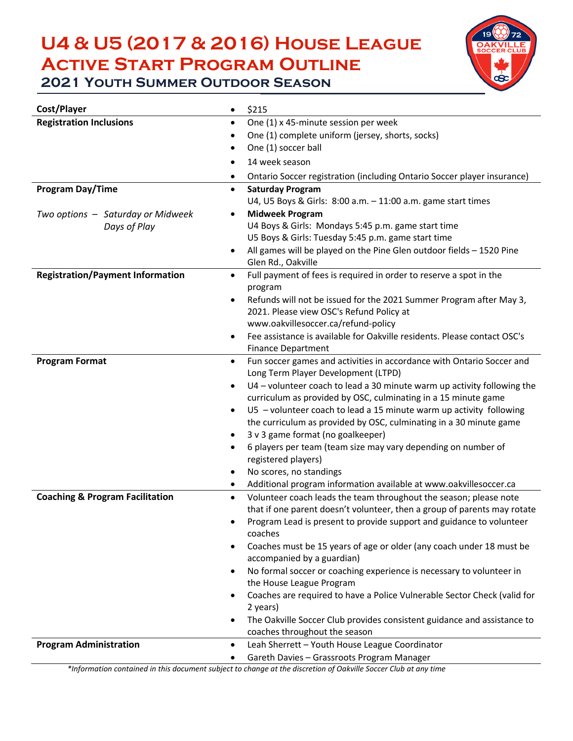# **U4 & U5 (2017 & 2016) House League Active Start Program Outline**



**2021 YOUTH SUMMER OUTDOOR SEASON** 

| Cost/Player                                | \$215<br>$\bullet$                                                                                                |  |  |
|--------------------------------------------|-------------------------------------------------------------------------------------------------------------------|--|--|
| <b>Registration Inclusions</b>             | One (1) x 45-minute session per week<br>٠                                                                         |  |  |
|                                            | One (1) complete uniform (jersey, shorts, socks)                                                                  |  |  |
|                                            | One (1) soccer ball                                                                                               |  |  |
|                                            | 14 week season<br>$\bullet$                                                                                       |  |  |
|                                            | Ontario Soccer registration (including Ontario Soccer player insurance)                                           |  |  |
| Program Day/Time                           | <b>Saturday Program</b>                                                                                           |  |  |
|                                            | U4, U5 Boys & Girls: 8:00 a.m. - 11:00 a.m. game start times                                                      |  |  |
| Two options - Saturday or Midweek          | <b>Midweek Program</b>                                                                                            |  |  |
| Days of Play                               | U4 Boys & Girls: Mondays 5:45 p.m. game start time                                                                |  |  |
|                                            | U5 Boys & Girls: Tuesday 5:45 p.m. game start time                                                                |  |  |
|                                            | All games will be played on the Pine Glen outdoor fields - 1520 Pine<br>$\bullet$<br>Glen Rd., Oakville           |  |  |
| <b>Registration/Payment Information</b>    | Full payment of fees is required in order to reserve a spot in the<br>$\bullet$                                   |  |  |
|                                            | program                                                                                                           |  |  |
|                                            | Refunds will not be issued for the 2021 Summer Program after May 3,<br>$\bullet$                                  |  |  |
|                                            | 2021. Please view OSC's Refund Policy at                                                                          |  |  |
|                                            | www.oakvillesoccer.ca/refund-policy                                                                               |  |  |
|                                            | Fee assistance is available for Oakville residents. Please contact OSC's<br>٠                                     |  |  |
|                                            | <b>Finance Department</b>                                                                                         |  |  |
| <b>Program Format</b>                      | Fun soccer games and activities in accordance with Ontario Soccer and<br>٠<br>Long Term Player Development (LTPD) |  |  |
|                                            | U4 - volunteer coach to lead a 30 minute warm up activity following the<br>$\bullet$                              |  |  |
|                                            | curriculum as provided by OSC, culminating in a 15 minute game                                                    |  |  |
|                                            | U5 - volunteer coach to lead a 15 minute warm up activity following<br>٠                                          |  |  |
|                                            | the curriculum as provided by OSC, culminating in a 30 minute game                                                |  |  |
|                                            | 3 v 3 game format (no goalkeeper)<br>٠                                                                            |  |  |
|                                            | 6 players per team (team size may vary depending on number of<br>$\bullet$<br>registered players)                 |  |  |
|                                            | No scores, no standings<br>٠                                                                                      |  |  |
|                                            | Additional program information available at www.oakvillesoccer.ca<br>٠                                            |  |  |
| <b>Coaching &amp; Program Facilitation</b> | Volunteer coach leads the team throughout the season; please note<br>$\bullet$                                    |  |  |
|                                            | that if one parent doesn't volunteer, then a group of parents may rotate                                          |  |  |
|                                            | Program Lead is present to provide support and guidance to volunteer<br>coaches                                   |  |  |
|                                            | Coaches must be 15 years of age or older (any coach under 18 must be<br>$\bullet$                                 |  |  |
|                                            | accompanied by a guardian)                                                                                        |  |  |
|                                            | No formal soccer or coaching experience is necessary to volunteer in<br>$\bullet$                                 |  |  |
|                                            | the House League Program                                                                                          |  |  |
|                                            | Coaches are required to have a Police Vulnerable Sector Check (valid for<br>$\bullet$                             |  |  |
|                                            | 2 years)                                                                                                          |  |  |
|                                            | The Oakville Soccer Club provides consistent guidance and assistance to                                           |  |  |
|                                            | coaches throughout the season                                                                                     |  |  |
| <b>Program Administration</b>              | Leah Sherrett - Youth House League Coordinator<br>٠                                                               |  |  |
|                                            | Gareth Davies - Grassroots Program Manager                                                                        |  |  |

*\*Information contained in this document subject to change at the discretion of Oakville Soccer Club at any time*